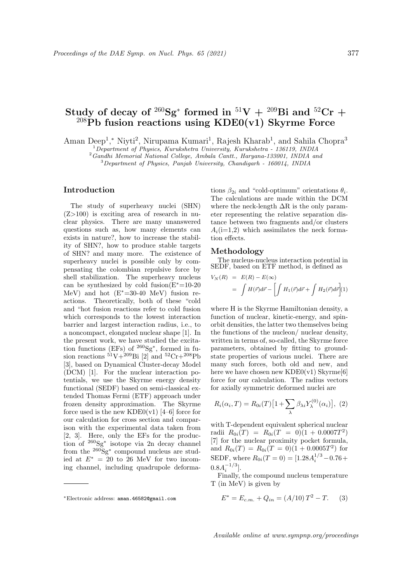# ${\bf Study~of~decay~of~}^{260}{\bf Sg^*~formed~in~}^{51}{\bf V}~+~}^{209}{\bf Bi~and~}^{52}{\bf Cr}~+$ <sup>208</sup>**Pb fusion reactions using KDE0(v1) Skyrme Force**

Aman Deep<sup>1</sup>,<sup>\*</sup> Niyti<sup>2</sup>, Nirupama Kumari<sup>1</sup>, Rajesh Kharab<sup>1</sup>, and Sahila Chopra<sup>3</sup>

<sup>1</sup>*Department of Physics, Kurukshetra University, Kurukshetra - 136119, INDIA*

<sup>2</sup>*Gandhi Memorial National College, Ambala Cantt., Haryana-133001, INDIA and*

<sup>3</sup>*Department of Physics, Panjab University, Chandigarh - 160014, INDIA*

### **Introduction**

The study of superheavy nuclei (SHN) (Z*>*100) is exciting area of research in nuclear physics. There are many unanswered questions such as, how many elements can exists in nature?, how to increase the stability of SHN?, how to produce stable targets of SHN? and many more. The existence of superheavy nuclei is possible only by compensating the colombian repulsive force by shell stabilization. The superheavy nucleus can be synthesized by cold fusion(E*∗*=10-20 MeV) and hot (E*∗*=30-40 MeV) fusion reactions. Theoretically, both of these "cold and "hot fusion reactions refer to cold fusion which corresponds to the lowest interaction barrier and largest interaction radius, i.e., to a noncompact, elongated nuclear shape [1]. In the present work, we have studied the excitation functions (EFs) of <sup>260</sup>Sg*<sup>∗</sup>* , formed in fusion reactions  $51V+209Bi$  [2] and  $52Cr+208Pb$ [3], based on Dynamical Cluster-decay Model (DCM) [1]. For the nuclear interaction potentials, we use the Skyrme energy density functional (SEDF) based on semi-classical extended Thomas Fermi (ETF) approach under frozen density approximation. The Skyrme force used is the new KDE0(v1)  $[4-6]$  force for our calculation for cross section and comparison with the experimental data taken from [2, 3]. Here, only the EFs for the production of <sup>260</sup>Sg*<sup>∗</sup>* isotope via 2n decay channel from the <sup>260</sup>Sg*<sup>∗</sup>* compound nucleus are studied at  $E^* = 20$  to 26 MeV for two incoming channel, including quadrupole deforma-

tions  $\beta_{2i}$  and "cold-optimum" orientations  $\theta_i$ . The calculations are made within the DCM where the neck-length  $\Delta R$  is the only parameter representing the relative separation distance between two fragments and/or clusters  $A_i(i=1,2)$  which assimilates the neck formation effects.

#### **Methodology**

The nucleus-nucleus interaction potential in SEDF, based on ETF method, is defined as

$$
V_N(R) = E(R) - E(\infty)
$$
  
= 
$$
\int H(\vec{r})d\vec{r} - \left[ \int H_1(\vec{r})d\vec{r} + \int H_2(\vec{r})d\vec{r} \right](1)
$$

where H is the Skyrme Hamiltonian density, a function of nuclear, kinetic-energy, and spinorbit densities, the latter two themselves being the functions of the nucleon/ nuclear density, written in terms of, so-called, the Skyrme force parameters, obtained by fitting to groundstate properties of various nuclei. There are many such forces, both old and new, and here we have chosen new  $KDE0(v1)$  Skyrme[6] force for our calculation. The radius vectors for axially symmetric deformed nuclei are

$$
R_i(\alpha_i, T) = R_{0i}(T) \left[ 1 + \sum_{\lambda} \beta_{\lambda i} Y_{\lambda}^{(0)}(\alpha_i) \right], (2)
$$

with T-dependent equivalent spherical nuclear  $r$ adii  $R_{0i}(T) = R_{0i}(T = 0)(1 + 0.0007T^2)$ [7] for the nuclear proximity pocket formula, and  $R_{0i}(T) = R_{0i}(T = 0)(1 + 0.0005T^2)$  for SEDF, where  $R_{0i}(T=0) = [1.28A_i^{1/3} - 0.76 +$  $0.8A_i^{-1/3}$ .

Finally, the compound nucleus temperature T (in MeV) is given by

$$
E^* = E_{c.m.} + Q_{in} = (A/10)T^2 - T.
$$
 (3)

*<sup>∗</sup>*Electronic address: aman.46582@gmail.com